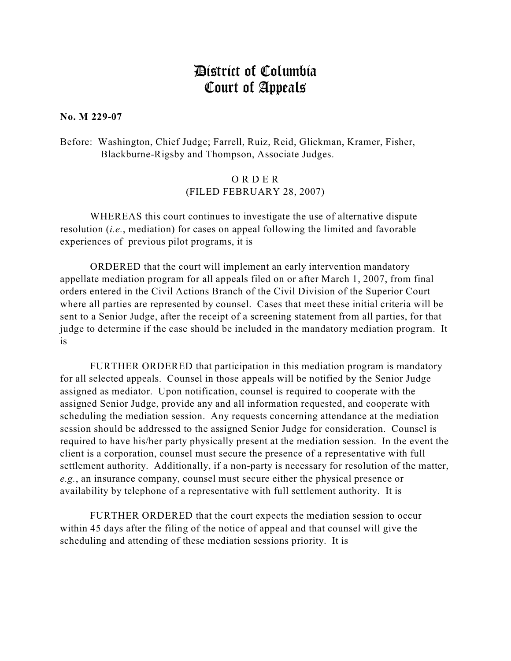## District of Columbia Court of Appeals

## **No. M 229-07**

Before: Washington, Chief Judge; Farrell, Ruiz, Reid, Glickman, Kramer, Fisher, Blackburne-Rigsby and Thompson, Associate Judges.

## O R D E R (FILED FEBRUARY 28, 2007)

WHEREAS this court continues to investigate the use of alternative dispute resolution (*i.e.*, mediation) for cases on appeal following the limited and favorable experiences of previous pilot programs, it is

ORDERED that the court will implement an early intervention mandatory appellate mediation program for all appeals filed on or after March 1, 2007, from final orders entered in the Civil Actions Branch of the Civil Division of the Superior Court where all parties are represented by counsel. Cases that meet these initial criteria will be sent to a Senior Judge, after the receipt of a screening statement from all parties, for that judge to determine if the case should be included in the mandatory mediation program. It is

FURTHER ORDERED that participation in this mediation program is mandatory for all selected appeals. Counsel in those appeals will be notified by the Senior Judge assigned as mediator. Upon notification, counsel is required to cooperate with the assigned Senior Judge, provide any and all information requested, and cooperate with scheduling the mediation session. Any requests concerning attendance at the mediation session should be addressed to the assigned Senior Judge for consideration. Counsel is required to have his/her party physically present at the mediation session. In the event the client is a corporation, counsel must secure the presence of a representative with full settlement authority. Additionally, if a non-party is necessary for resolution of the matter, *e.g.*, an insurance company, counsel must secure either the physical presence or availability by telephone of a representative with full settlement authority. It is

FURTHER ORDERED that the court expects the mediation session to occur within 45 days after the filing of the notice of appeal and that counsel will give the scheduling and attending of these mediation sessions priority. It is